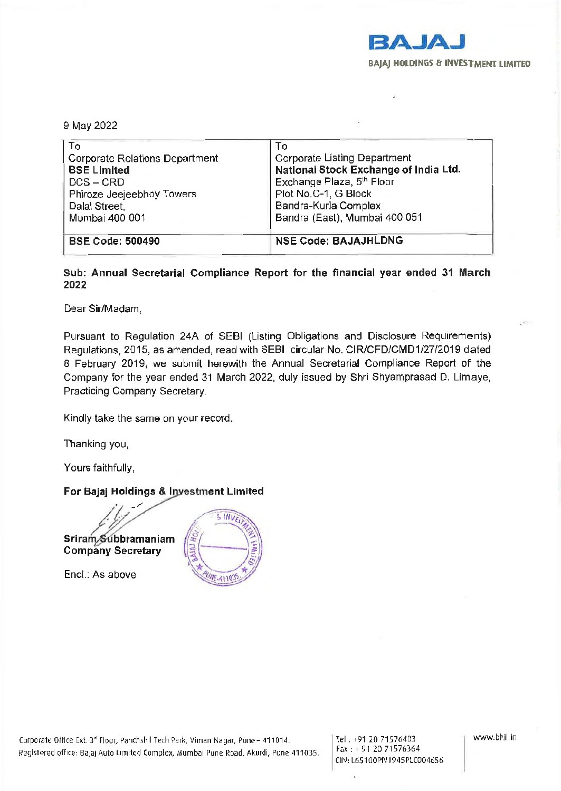

9 May 2022

| To                                    | To                                    |
|---------------------------------------|---------------------------------------|
| <b>Corporate Relations Department</b> | Corporate Listing Department          |
| <b>BSE Limited</b>                    | National Stock Exchange of India Ltd. |
| $DCS - CRD$                           | Exchange Plaza, 5th Floor             |
| Phiroze Jeejeebhoy Towers             | Plot No.C-1, G Block                  |
| Dalal Street,                         | Bandra-Kurla Complex                  |
| Mumbai 400 001                        | Bandra (East), Mumbai 400 051         |
|                                       |                                       |
| <b>BSE Code: 500490</b>               |                                       |
|                                       | <b>NSE Code: BAJAJHLDNG</b>           |

## Sub: Annual Secretarial Compliance Report for the financial year ended 31 March 2022

Dear Sir/Madam,

Pursuant to Regulation 24A of SEBI (Listing Obligations and Disclosure Requirements) Regulations, 2015, as amended, read with SEBI circular No. CIR/CFD/CMD1/27/2019 dated 8 February 2019, we submit herewith the Annual Secretarial Compliance Report of the Company for the year ended 31 March 2022, duly issued by Shri Shyamprasad D. Limaye, Practicing Company Secretary.

Kindly take the same on your record.

Thanking you,

Yours faithfully,

## For Bajaj Holdings & Investment Limited

 $1/2/$ Sriram Subbramaniam Company Secretary

Encl.: As above



Tel : +91 20 71 576403 Fax : + 91 20 71576364 CIN: l 65100PN194SPLC004656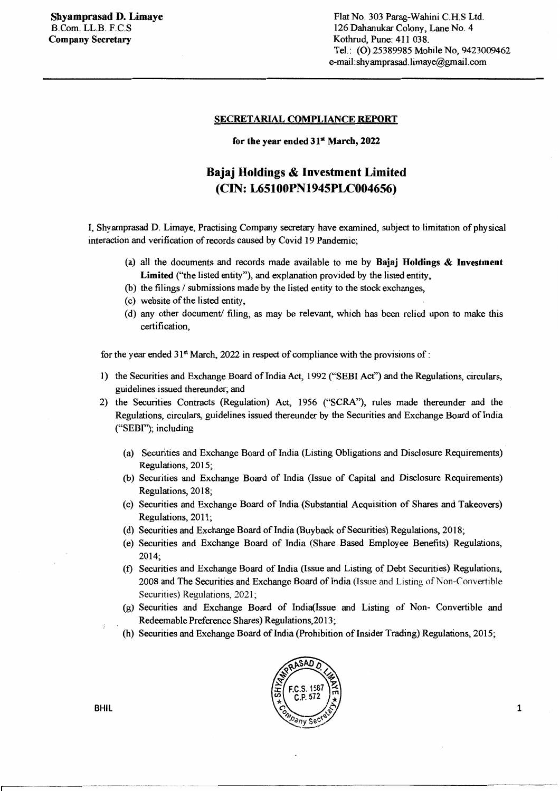## SECRETARIAL COMPLIANCE REPORT

for the year ended  $31<sup>*</sup>$  March, 2022

## Bajaj Holdings & Investment Limited (CIN: L65100PN1945PLC004656)

I, Shyamprasad D. Limaye, Practising Company secretary have examined, subject to limitation of physical interaction and verification of records caused by Covid 19 Pandemic;

- (a) all the documents and records made available to me by Bajaj Holdings  $\&$  Investment Limited ("the listed entity"), and explanation provided by the listed entity,
- (b) the filings  $\ell$  submissions made by the listed entity to the stock exchanges,
- ( c) website of the listed entity,
- ( d) any other document/ filing, as may be relevant, which has been relied upon to make this certification,

for the year ended 31<sup>st</sup> March, 2022 in respect of compliance with the provisions of :

- 1) the Securities and Exchange Board of India Act, 1992 ("SEBI Act") and the Regulations, circulars, guidelines issued thereunder; and
- 2) the Securities Contracts (Regulation) Act, 1956 ("SCRA"), rules made thereunder and the Regulations, circulars, guidelines issued thereunder by the Securities and Exchange Board of India ("SEBf'); including
	- (a) Securities and Exchange Board of India (Listing Obligations and Disclosure Requirements) Regulations, 2015;
	- (b) Securities and Exchange Board of India (Issue of Capital and Disclosure Requirements) Regulations, 2018;
	- (c) Securities and Exchange Board of India (Substantial Acquisition of Shares and Takeovers) Regulations, 2011;
	- (d) Securities and Exchange Board of India (Buyback of Securities) Regulations, 2018;
	- (e) Securities and Exchange Board of India (Share Based Employee Benefits) Regulations, 2014;
	- (f) Securities and Exchange Board of India (Issue and Listing of Debt Securities) Regulations, 2008 and The Securities and Exchange Board of India (Issue and Listing of Non-Convertible Securities) Regulations, 2021;
	- (g) Securities and Exchange Board of lndia(Issue and Listing of Non- Convertible and Redeemable Preference Shares) Regulations,2013;
	- (h) Securities and Exchange Board of India (Prohibition of Insider Trading) Regulations, 2015;



BHIL

r---